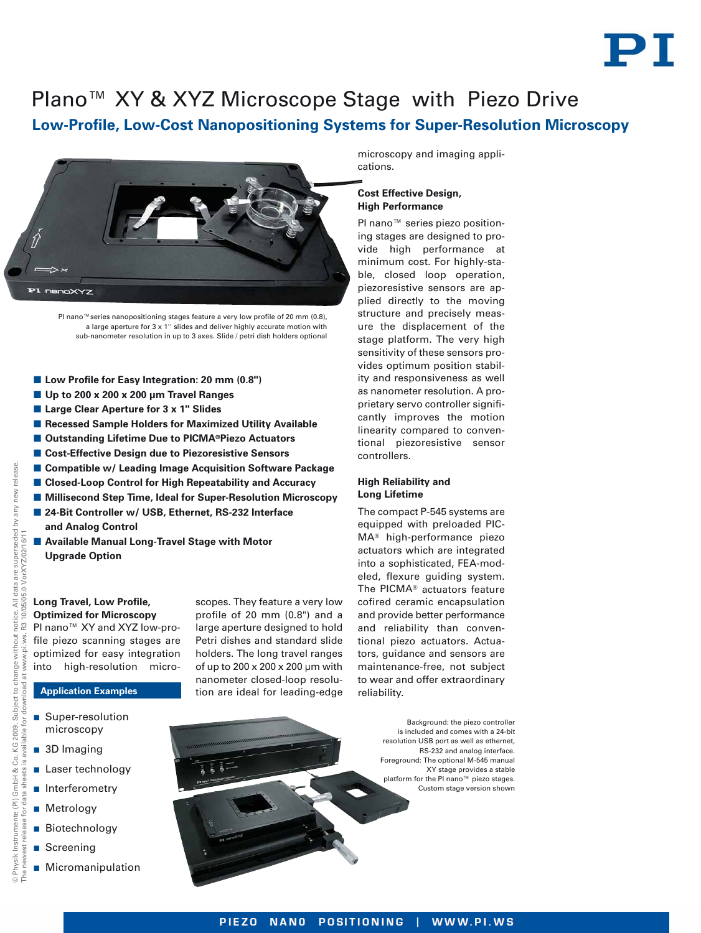

# **Low-Profile, Low-Cost Nanopositioning Systems for Super-Resolution Microscopy** Plano™ XY & XYZ Microscope Stage with Piezo Drive



PI nano™ series nanopositioning stages feature a very low profile of 20 mm (0.8), a large aperture for 3 x 1'' slides and deliver highly accurate motion with sub-nanometer resolution in up to 3 axes. Slide / petri dish holders optional

- Low Profile for Easy Integration: 20 mm (0.8")
- **Up to 200 x 200 x 200 μm Travel Ranges**
- Large Clear Aperture for 3 x 1" Slides
- -**Recessed Sample Holders for Maximized Utility Available**
- -**Outstanding Lifetime Due to PICMA®Piezo Actuators**
- -**Cost-Effective Design due to Piezoresistive Sensors**
- -**Compatible w/ Leading Image Acquisition Software Package**
- Closed-Loop Control for High Repeatability and Accuracy
- **E** Millisecond Step Time, Ideal for Super-Resolution Microscopy
- 24-Bit Controller w/ USB, Ethernet, RS-232 Interface **and Analog Control**
- **E** Available Manual Long-Travel Stage with Motor **Upgrade Option**

#### **Long Travel, Low Profile, Optimized for Microscopy**

PI nano™ XY and XYZ low-profile piezo scanning stages are optimized for easy integration into high-resolution micro-

### **Application Examples**

- **B** Super-resolution microscopy
- 3D Imaging

© Physik Instrumente (PI) GmbH & Co. KG 2009. Subject to change without notice. All data are superseded by any new release.

Š

load

Subject to change

Co. KG 2009. ble

GmbH &

**Physik Instrumente (PI)** 

ior ease

without ws. w.pi.

VorXYZ/02/16/11

10/05/05.0 VorXYZ/02/16/11

data are superseded by any new

 $\overline{\overline{A}}$ notice.<br>R3 10/0

release

The newest release for data sheets is available for download at [www.pi.ws.](http://www.pi.ws) R3 10/05/05.0

 $\overline{Q}$ 

- **Laser technology**
- **n** Interferometry
- **Metrology**
- Biotechnology
- Screening
- **Micromanipulation**

scopes. They feature a very low profile of 20 mm (0.8") and a large aperture designed to hold Petri dishes and standard slide holders. The long travel ranges of up to 200 x 200 x 200 µm with nanometer closed-loop resolution are ideal for leading-edge

microscopy and imaging applications.

## **Cost Effective Design, High Performance**

PI nano<sup>™</sup> series piezo positioning stages are designed to provide high performance at minimum cost. For highly-stable, closed loop operation, piezoresistive sensors are applied directly to the moving structure and precisely measure the displacement of the stage platform. The very high sensitivity of these sensors provides optimum position stability and responsiveness as well as nanometer resolution. A proprietary servo controller significantly improves the motion linearity compared to conventional piezoresistive sensor controllers.

## **High Reliability and Long Lifetime**

The compact P-545 systems are equipped with preloaded PIC-MA® high-performance piezo actuators which are integrated into a sophisticated, FEA-modeled, flexure guiding system. The PICMA® actuators feature cofired ceramic encapsulation and provide better performance and reliability than conventional piezo actuators. Actuators, guidance and sensors are maintenance-free, not subject to wear and offer extraordinary reliability.

> Background: the piezo controller is included and comes with a 24-bit resolution USB port as well as ethernet, RS-232 and analog interface. Foreground: The optional M-545 manual XY stage provides a stable platform for the PI nano™ piezo stages. Custom stage version shown